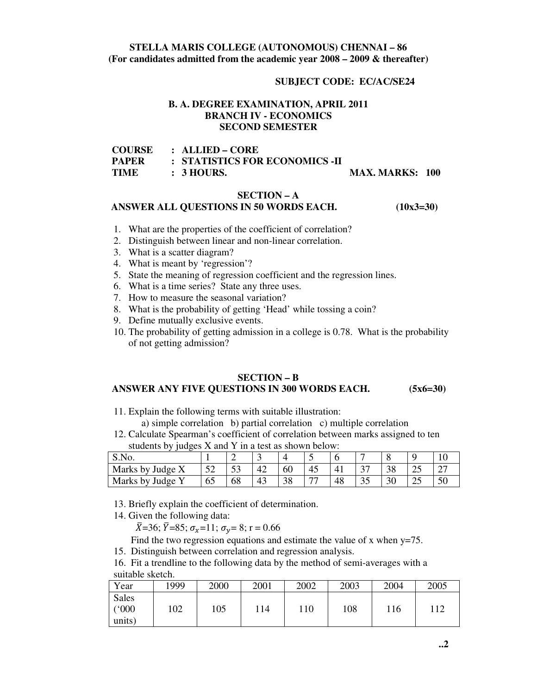# **STELLA MARIS COLLEGE (AUTONOMOUS) CHENNAI – 86 (For candidates admitted from the academic year 2008 – 2009 & thereafter)**

# **SUBJECT CODE: EC/AC/SE24**

# **B. A. DEGREE EXAMINATION, APRIL 2011 BRANCH IV - ECONOMICS SECOND SEMESTER**

| COURSE | $\therefore$ ALLIED – CORE     |                        |  |
|--------|--------------------------------|------------------------|--|
| PAPER  | : STATISTICS FOR ECONOMICS -II |                        |  |
| TIME   | $\pm$ 3 HOURS.                 | <b>MAX. MARKS: 100</b> |  |

#### **SECTION – A**

#### **ANSWER ALL QUESTIONS IN 50 WORDS EACH. (10x3=30)**

- 1. What are the properties of the coefficient of correlation?
- 2. Distinguish between linear and non-linear correlation.
- 3. What is a scatter diagram?
- 4. What is meant by 'regression'?
- 5. State the meaning of regression coefficient and the regression lines.
- 6. What is a time series? State any three uses.
- 7. How to measure the seasonal variation?
- 8. What is the probability of getting 'Head' while tossing a coin?
- 9. Define mutually exclusive events.
- 10. The probability of getting admission in a college is 0.78. What is the probability of not getting admission?

# **SECTION – B ANSWER ANY FIVE QUESTIONS IN 300 WORDS EACH. (5x6=30)**

11. Explain the following terms with suitable illustration:

a) simple correlation b) partial correlation c) multiple correlation

12. Calculate Spearman's coefficient of correlation between marks assigned to ten students by judges X and Y in a test as shown below:

| S.No.                                |               | ∼             | ັ  |    |                          |    |                               | ິ  |          |                                    |
|--------------------------------------|---------------|---------------|----|----|--------------------------|----|-------------------------------|----|----------|------------------------------------|
| Marks by<br>$\theta$ Judge $\lambda$ | $\sim$<br>ے ب | $\Gamma$<br>ັ | 42 | 60 | -45                      |    | $\sim$<br>◡                   | 38 | nε<br>رے | $\sim$<br>$\overline{\phantom{a}}$ |
| Marks by<br>Judge                    | υJ            | 68            | 43 | 38 | $\overline{\phantom{a}}$ | 48 | $\overline{\phantom{a}}$<br>ິ | 30 | ر_       | 50                                 |

13. Briefly explain the coefficient of determination.

14. Given the following data:

 $\bar{X}$ =36;  $\bar{Y}$ =85;  $\sigma_x$ =11;  $\sigma_y$ = 8; r = 0.66

Find the two regression equations and estimate the value of x when  $y=75$ .

15. Distinguish between correlation and regression analysis.

16. Fit a trendline to the following data by the method of semi-averages with a suitable sketch.

| Year                     | 1999 | 2000 | 2001 | 2002 | 2003 | 2004 | 2005 |
|--------------------------|------|------|------|------|------|------|------|
| Sales<br>(000)<br>units) | 102  | 105  | 114  | 110  | 108  | 116  | 112  |